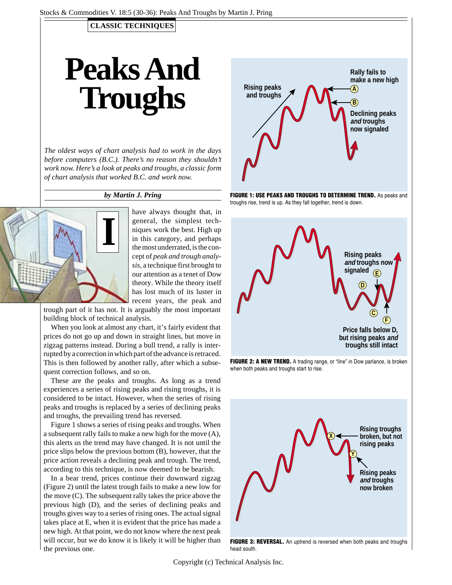### **CLASSIC TECHNIQUES**

# **Peaks And Troughs**

*The oldest ways of chart analysis had to work in the days before computers (B.C.). There's no reason they shouldn't work now. Here's a look at peaks and troughs, a classic form of chart analysis that worked B.C. and work now.*

#### *by Martin J. Pring*



have always thought that, in general, the simplest techniques work the best. High up in this category, and perhaps the most underrated, is the concept of *peak and trough analysis*, a technique first brought to our attention as a tenet of Dow theory. While the theory itself has lost much of its luster in recent years, the peak and

trough part of it has not. It is arguably the most important building block of technical analysis.

When you look at almost any chart, it's fairly evident that prices do not go up and down in straight lines, but move in zigzag patterns instead. During a bull trend, a rally is interrupted by a correction in which part of the advance is retraced. This is then followed by another rally, after which a subsequent correction follows, and so on.

These are the peaks and troughs. As long as a trend experiences a series of rising peaks and rising troughs, it is considered to be intact. However, when the series of rising peaks and troughs is replaced by a series of declining peaks and troughs, the prevailing trend has reversed.

Figure 1 shows a series of rising peaks and troughs. When a subsequent rally fails to make a new high for the move (A), this alerts us the trend may have changed. It is not until the price slips below the previous bottom (B), however, that the price action reveals a declining peak and trough. The trend, according to this technique, is now deemed to be bearish.

In a bear trend, prices continue their downward zigzag (Figure 2) until the latest trough fails to make a new low for the move (C). The subsequent rally takes the price above the previous high (D), and the series of declining peaks and troughs gives way to a series of rising ones. The actual signal takes place at E, when it is evident that the price has made a new high. At that point, we do not know where the next peak will occur, but we do know it is likely it will be higher than the previous one.







FIGURE 2: A NEW TREND. A trading range, or "line" in Dow parlance, is broken when both peaks and troughs start to rise.



Copyright (c) Technical Analysis Inc.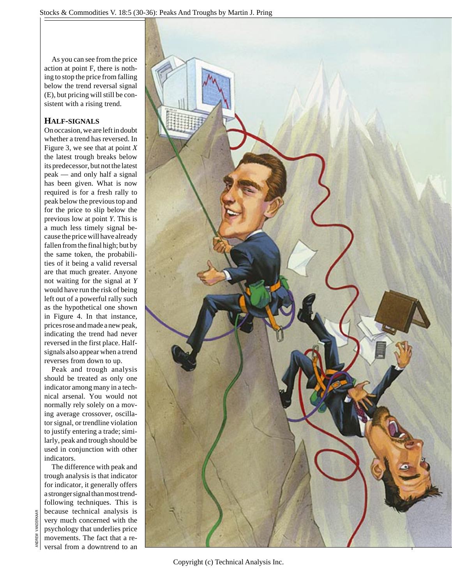As you can see from the price action at point F, there is nothing to stop the price from falling below the trend reversal signal (E), but pricing will still be consistent with a rising trend.

## **HALF-SIGNALS**

On occasion, we are left in doubt whether a trend has reversed. In Figure 3, we see that at point *X* the latest trough breaks below its predecessor, but not the latest peak — and only half a signal has been given. What is now required is for a fresh rally to peak below the previous top and for the price to slip below the previous low at point *Y*. This is a much less timely signal because the price will have already fallen from the final high; but by the same token, the probabilities of it being a valid reversal are that much greater. Anyone not waiting for the signal at *Y* would have run the risk of being left out of a powerful rally such as the hypothetical one shown in Figure 4. In that instance, prices rose and made a new peak, indicating the trend had never reversed in the first place. Halfsignals also appear when a trend reverses from down to up.

Peak and trough analysis should be treated as only one indicator among many in a technical arsenal. You would not normally rely solely on a moving average crossover, oscillator signal, or trendline violation to justify entering a trade; similarly, peak and trough should be used in conjunction with other indicators.

The difference with peak and trough analysis is that indicator for indicator, it generally offers a stronger signal than most trendfollowing techniques. This is because technical analysis is very much concerned with the psychology that underlies price movements. The fact that a reversal from a downtrend to an



Copyright (c) Technical Analysis Inc.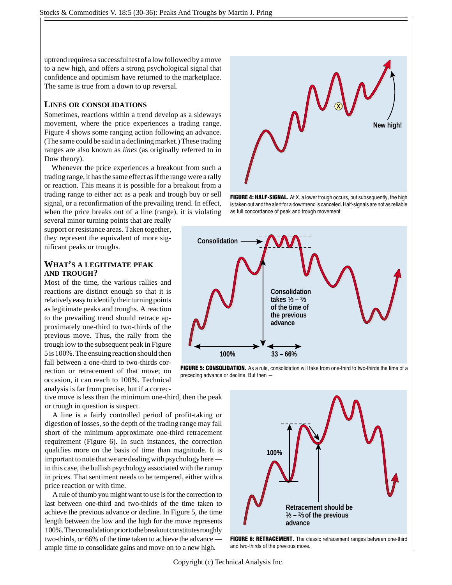uptrend requires a successful test of a low followed by a move to a new high, and offers a strong psychological signal that confidence and optimism have returned to the marketplace. The same is true from a down to up reversal.

#### **LINES OR CONSOLIDATIONS**

Sometimes, reactions within a trend develop as a sideways movement, where the price experiences a trading range. Figure 4 shows some ranging action following an advance. (The same could be said in a declining market.) These trading ranges are also known as *lines* (as originally referred to in Dow theory).

Whenever the price experiences a breakout from such a trading range, it has the same effect as if the range were a rally or reaction. This means it is possible for a breakout from a trading range to either act as a peak and trough buy or sell signal, or a reconfirmation of the prevailing trend. In effect, when the price breaks out of a line (range), it is violating

several minor turning points that are really support or resistance areas. Taken together, they represent the equivalent of more significant peaks or troughs.

#### **WHAT'S A LEGITIMATE PEAK AND TROUGH?**

Most of the time, the various rallies and reactions are distinct enough so that it is relatively easy to identify their turning points as legitimate peaks and troughs. A reaction to the prevailing trend should retrace approximately one-third to two-thirds of the previous move. Thus, the rally from the trough low to the subsequent peak in Figure 5 is 100%. The ensuing reaction should then fall between a one-third to two-thirds correction or retracement of that move; on occasion, it can reach to 100%. Technical analysis is far from precise, but if a correc-

tive move is less than the minimum one-third, then the peak or trough in question is suspect.

A line is a fairly controlled period of profit-taking or digestion of losses, so the depth of the trading range may fall short of the minimum approximate one-third retracement requirement (Figure 6). In such instances, the correction qualifies more on the basis of time than magnitude. It is important to note that we are dealing with psychology here in this case, the bullish psychology associated with the runup in prices. That sentiment needs to be tempered, either with a price reaction or with time.

A rule of thumb you might want to use is for the correction to last between one-third and two-thirds of the time taken to achieve the previous advance or decline. In Figure 5, the time length between the low and the high for the move represents 100%. The consolidation prior to the breakout constitutes roughly two-thirds, or 66% of the time taken to achieve the advance ample time to consolidate gains and move on to a new high.



**FIGURE 4: HALF-SIGNAL.** At X, a lower trough occurs, but subsequently, the high is taken out and the alert for a downtrend is canceled. Half-signals are not as reliable as full concordance of peak and trough movement.



**FIGURE 5: CONSOLIDATION.** As a rule, consolidation will take from one-third to two-thirds the time of a preceding advance or decline. But then —



**FIGURE 6: RETRACEMENT.** The classic retracement ranges between one-third and two-thirds of the previous move.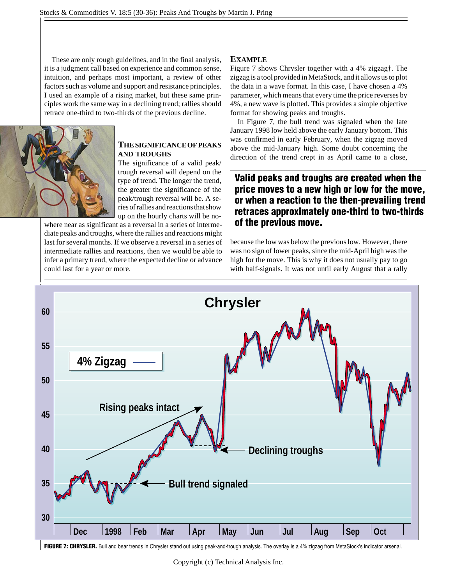These are only rough guidelines, and in the final analysis, it is a judgment call based on experience and common sense, intuition, and perhaps most important, a review of other factors such as volume and support and resistance principles. I used an example of a rising market, but these same principles work the same way in a declining trend; rallies should retrace one-third to two-thirds of the previous decline.



#### **THESIGNIFICANCEOFPEAKS AND TROUGHS**

The significance of a valid peak/ trough reversal will depend on the type of trend. The longer the trend, the greater the significance of the peak/trough reversal will be. A series of rallies and reactions that show up on the hourly charts will be no-

where near as significant as a reversal in a series of intermediate peaks and troughs, where the rallies and reactions might last for several months. If we observe a reversal in a series of intermediate rallies and reactions, then we would be able to infer a primary trend, where the expected decline or advance could last for a year or more.

#### **EXAMPLE**

Figure 7 shows Chrysler together with a 4% zigzag†. The zigzag is a tool provided in MetaStock, and it allows us to plot the data in a wave format. In this case, I have chosen a 4% parameter, which means that every time the price reverses by 4%, a new wave is plotted. This provides a simple objective format for showing peaks and troughs.

In Figure 7, the bull trend was signaled when the late January 1998 low held above the early January bottom. This was confirmed in early February, when the zigzag moved above the mid-January high. Some doubt concerning the direction of the trend crept in as April came to a close,

# **Valid peaks and troughs are created when the price moves to a new high or low for the move, or when a reaction to the then-prevailing trend retraces approximately one-third to two-thirds of the previous move.**

because the low was below the previous low. However, there was no sign of lower peaks, since the mid-April high was the high for the move. This is why it does not usually pay to go with half-signals. It was not until early August that a rally



FIGURE 7: CHRYSLER. Bull and bear trends in Chrysler stand out using peak-and-trough analysis. The overlay is a 4% zigzag from MetaStock's indicator arsenal.